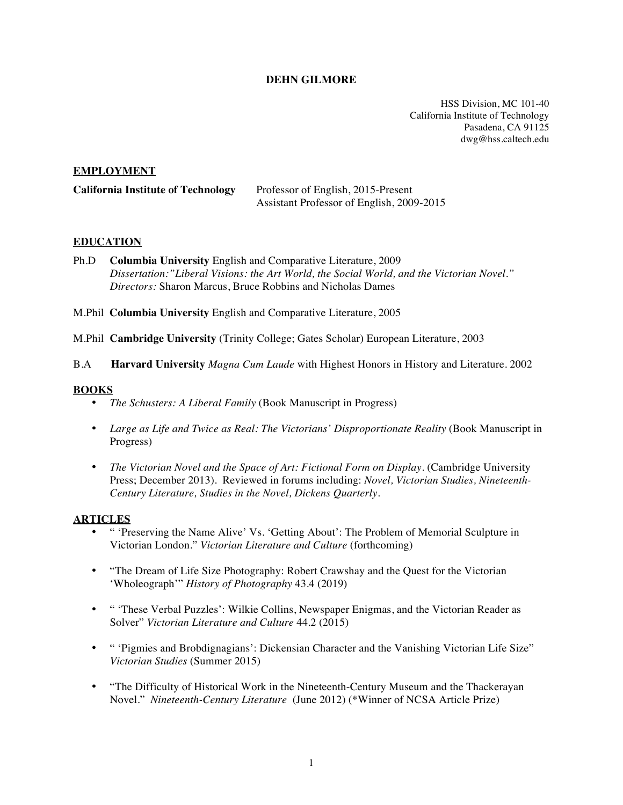## **DEHN GILMORE**

HSS Division, MC 101-40 California Institute of Technology Pasadena, CA 91125 dwg@hss.caltech.edu

### **EMPLOYMENT**

| <b>California Institute of Technology</b> | Professor of English, 2015-Present        |
|-------------------------------------------|-------------------------------------------|
|                                           | Assistant Professor of English, 2009-2015 |

### **EDUCATION**

- Ph.D **Columbia University** English and Comparative Literature, 2009 *Dissertation:"Liberal Visions: the Art World, the Social World, and the Victorian Novel." Directors:* Sharon Marcus, Bruce Robbins and Nicholas Dames
- M.Phil **Columbia University** English and Comparative Literature, 2005

M.Phil **Cambridge University** (Trinity College; Gates Scholar) European Literature, 2003

B.A **Harvard University** *Magna Cum Laude* with Highest Honors in History and Literature. 2002

### **BOOKS**

- *The Schusters: A Liberal Family* (Book Manuscript in Progress)
- *Large as Life and Twice as Real: The Victorians' Disproportionate Reality* (Book Manuscript in Progress)
- *The Victorian Novel and the Space of Art: Fictional Form on Display.* (Cambridge University Press; December 2013). Reviewed in forums including: *Novel, Victorian Studies, Nineteenth-Century Literature, Studies in the Novel, Dickens Quarterly.*

### **ARTICLES**

- " 'Preserving the Name Alive' Vs. 'Getting About': The Problem of Memorial Sculpture in Victorian London." *Victorian Literature and Culture* (forthcoming)
- "The Dream of Life Size Photography: Robert Crawshay and the Quest for the Victorian 'Wholeograph'" *History of Photography* 43.4 (2019)
- " 'These Verbal Puzzles': Wilkie Collins, Newspaper Enigmas, and the Victorian Reader as Solver" *Victorian Literature and Culture* 44.2 (2015)
- " 'Pigmies and Brobdignagians': Dickensian Character and the Vanishing Victorian Life Size" *Victorian Studies* (Summer 2015)
- "The Difficulty of Historical Work in the Nineteenth-Century Museum and the Thackerayan Novel." *Nineteenth-Century Literature* (June 2012) (\*Winner of NCSA Article Prize)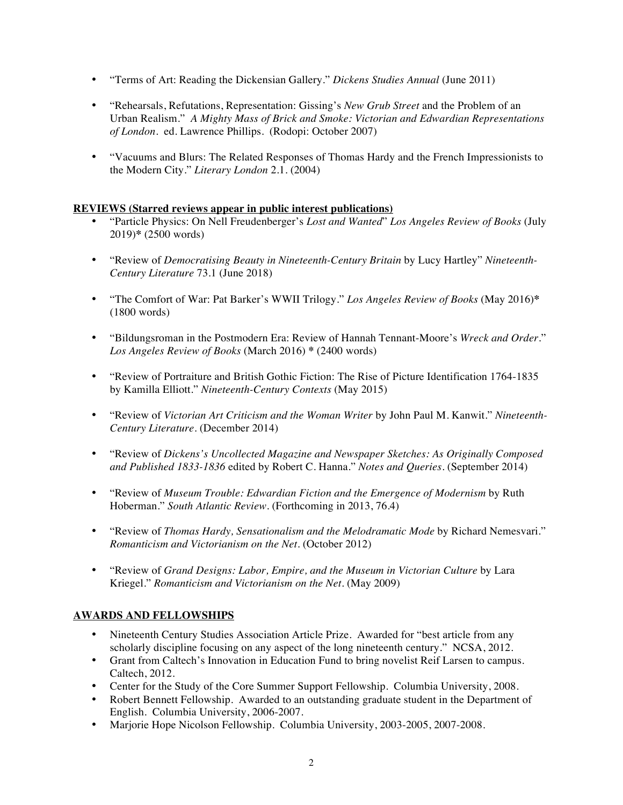- "Terms of Art: Reading the Dickensian Gallery." *Dickens Studies Annual* (June 2011)
- "Rehearsals, Refutations, Representation: Gissing's *New Grub Street* and the Problem of an Urban Realism." *A Mighty Mass of Brick and Smoke: Victorian and Edwardian Representations of London.* ed. Lawrence Phillips. (Rodopi: October 2007)
- "Vacuums and Blurs: The Related Responses of Thomas Hardy and the French Impressionists to the Modern City." *Literary London* 2.1. (2004)

## **REVIEWS (Starred reviews appear in public interest publications)**

- "Particle Physics: On Nell Freudenberger's *Lost and Wanted*" *Los Angeles Review of Books* (July 2019)**\*** (2500 words)
- "Review of *Democratising Beauty in Nineteenth-Century Britain* by Lucy Hartley" *Nineteenth-Century Literature* 73.1 (June 2018)
- "The Comfort of War: Pat Barker's WWII Trilogy*.*" *Los Angeles Review of Books* (May 2016)**\*** (1800 words)
- "Bildungsroman in the Postmodern Era: Review of Hannah Tennant-Moore's *Wreck and Order.*" *Los Angeles Review of Books* (March 2016) **\*** (2400 words)
- "Review of Portraiture and British Gothic Fiction: The Rise of Picture Identification 1764-1835 by Kamilla Elliott." *Nineteenth-Century Contexts* (May 2015)
- "Review of *Victorian Art Criticism and the Woman Writer* by John Paul M. Kanwit." *Nineteenth-Century Literature*. (December 2014)
- "Review of *Dickens's Uncollected Magazine and Newspaper Sketches: As Originally Composed and Published 1833-1836* edited by Robert C. Hanna." *Notes and Queries*. (September 2014)
- "Review of *Museum Trouble: Edwardian Fiction and the Emergence of Modernism* by Ruth Hoberman." *South Atlantic Review.* (Forthcoming in 2013, 76.4)
- "Review of *Thomas Hardy, Sensationalism and the Melodramatic Mode* by Richard Nemesvari." *Romanticism and Victorianism on the Net*. (October 2012)
- "Review of *Grand Designs: Labor, Empire, and the Museum in Victorian Culture* by Lara Kriegel." *Romanticism and Victorianism on the Net*. (May 2009)

# **AWARDS AND FELLOWSHIPS**

- Nineteenth Century Studies Association Article Prize. Awarded for "best article from any scholarly discipline focusing on any aspect of the long nineteenth century." NCSA, 2012.
- Grant from Caltech's Innovation in Education Fund to bring novelist Reif Larsen to campus. Caltech, 2012.
- Center for the Study of the Core Summer Support Fellowship. Columbia University, 2008.
- Robert Bennett Fellowship. Awarded to an outstanding graduate student in the Department of English. Columbia University, 2006-2007.
- Marjorie Hope Nicolson Fellowship. Columbia University, 2003-2005, 2007-2008.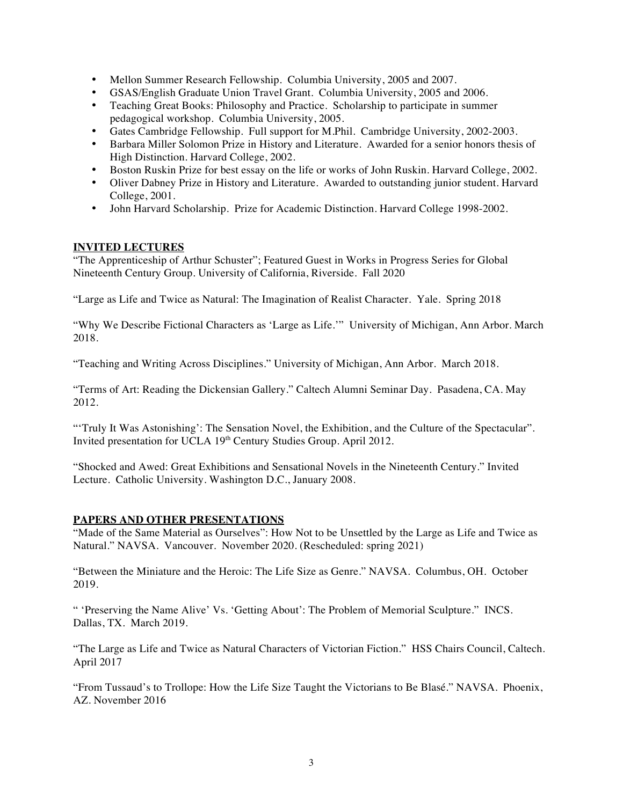- Mellon Summer Research Fellowship. Columbia University, 2005 and 2007.
- GSAS/English Graduate Union Travel Grant. Columbia University, 2005 and 2006.
- Teaching Great Books: Philosophy and Practice. Scholarship to participate in summer pedagogical workshop. Columbia University, 2005.
- Gates Cambridge Fellowship. Full support for M.Phil. Cambridge University, 2002-2003.
- Barbara Miller Solomon Prize in History and Literature. Awarded for a senior honors thesis of High Distinction. Harvard College, 2002.
- Boston Ruskin Prize for best essay on the life or works of John Ruskin. Harvard College, 2002.
- Oliver Dabney Prize in History and Literature. Awarded to outstanding junior student. Harvard College, 2001.
- John Harvard Scholarship. Prize for Academic Distinction. Harvard College 1998-2002.

## **INVITED LECTURES**

"The Apprenticeship of Arthur Schuster"; Featured Guest in Works in Progress Series for Global Nineteenth Century Group. University of California, Riverside. Fall 2020

"Large as Life and Twice as Natural: The Imagination of Realist Character. Yale. Spring 2018

"Why We Describe Fictional Characters as 'Large as Life.'" University of Michigan, Ann Arbor. March 2018.

"Teaching and Writing Across Disciplines." University of Michigan, Ann Arbor. March 2018.

"Terms of Art: Reading the Dickensian Gallery." Caltech Alumni Seminar Day. Pasadena, CA. May 2012.

"'Truly It Was Astonishing': The Sensation Novel, the Exhibition, and the Culture of the Spectacular". Invited presentation for UCLA 19<sup>th</sup> Century Studies Group. April 2012.

"Shocked and Awed: Great Exhibitions and Sensational Novels in the Nineteenth Century." Invited Lecture. Catholic University. Washington D.C., January 2008.

# **PAPERS AND OTHER PRESENTATIONS**

"Made of the Same Material as Ourselves": How Not to be Unsettled by the Large as Life and Twice as Natural." NAVSA. Vancouver. November 2020. (Rescheduled: spring 2021)

"Between the Miniature and the Heroic: The Life Size as Genre." NAVSA. Columbus, OH. October 2019.

" 'Preserving the Name Alive' Vs. 'Getting About': The Problem of Memorial Sculpture." INCS. Dallas, TX. March 2019.

"The Large as Life and Twice as Natural Characters of Victorian Fiction." HSS Chairs Council, Caltech. April 2017

"From Tussaud's to Trollope: How the Life Size Taught the Victorians to Be Blasé." NAVSA. Phoenix, AZ. November 2016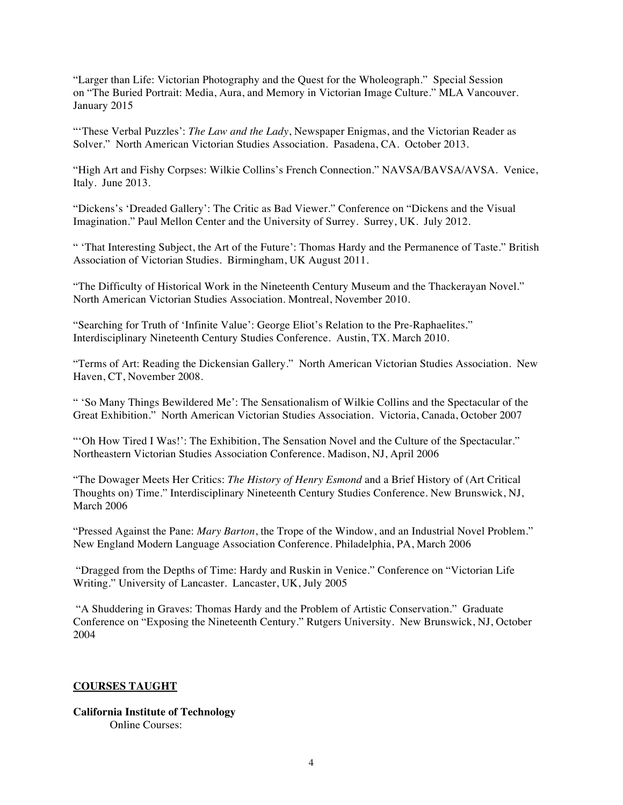"Larger than Life: Victorian Photography and the Quest for the Wholeograph." Special Session on "The Buried Portrait: Media, Aura, and Memory in Victorian Image Culture." MLA Vancouver. January 2015

"'These Verbal Puzzles': *The Law and the Lady*, Newspaper Enigmas, and the Victorian Reader as Solver." North American Victorian Studies Association. Pasadena, CA. October 2013.

"High Art and Fishy Corpses: Wilkie Collins's French Connection." NAVSA/BAVSA/AVSA. Venice, Italy. June 2013.

"Dickens's 'Dreaded Gallery': The Critic as Bad Viewer." Conference on "Dickens and the Visual Imagination." Paul Mellon Center and the University of Surrey. Surrey, UK. July 2012.

" 'That Interesting Subject, the Art of the Future': Thomas Hardy and the Permanence of Taste." British Association of Victorian Studies. Birmingham, UK August 2011.

"The Difficulty of Historical Work in the Nineteenth Century Museum and the Thackerayan Novel." North American Victorian Studies Association. Montreal, November 2010.

"Searching for Truth of 'Infinite Value': George Eliot's Relation to the Pre-Raphaelites." Interdisciplinary Nineteenth Century Studies Conference. Austin, TX. March 2010.

"Terms of Art: Reading the Dickensian Gallery." North American Victorian Studies Association. New Haven, CT, November 2008.

" 'So Many Things Bewildered Me': The Sensationalism of Wilkie Collins and the Spectacular of the Great Exhibition." North American Victorian Studies Association. Victoria, Canada, October 2007

"'Oh How Tired I Was!': The Exhibition, The Sensation Novel and the Culture of the Spectacular." Northeastern Victorian Studies Association Conference. Madison, NJ, April 2006

"The Dowager Meets Her Critics: *The History of Henry Esmond* and a Brief History of (Art Critical Thoughts on) Time." Interdisciplinary Nineteenth Century Studies Conference. New Brunswick, NJ, March 2006

"Pressed Against the Pane: *Mary Barton*, the Trope of the Window, and an Industrial Novel Problem." New England Modern Language Association Conference. Philadelphia, PA, March 2006

 "Dragged from the Depths of Time: Hardy and Ruskin in Venice." Conference on "Victorian Life Writing." University of Lancaster. Lancaster, UK, July 2005

 "A Shuddering in Graves: Thomas Hardy and the Problem of Artistic Conservation." Graduate Conference on "Exposing the Nineteenth Century." Rutgers University. New Brunswick, NJ, October 2004

### **COURSES TAUGHT**

### **California Institute of Technology** Online Courses: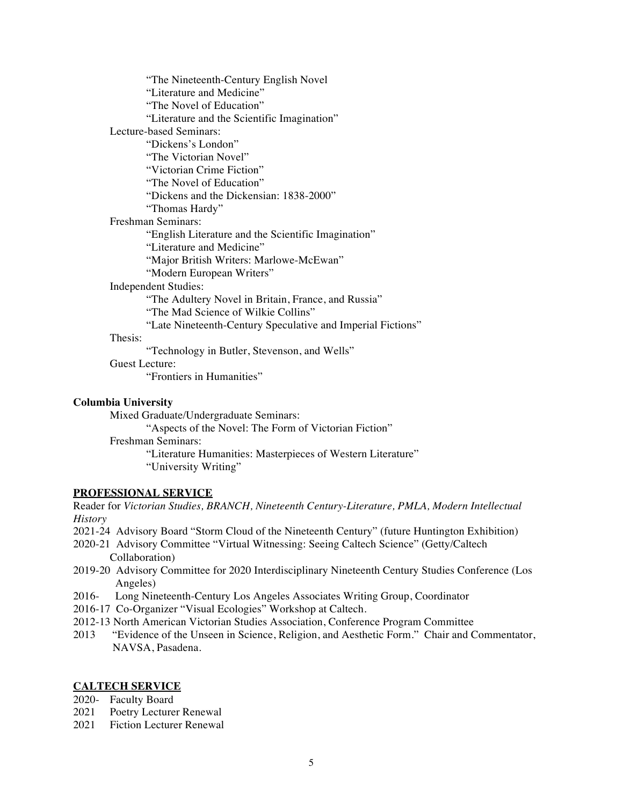"The Nineteenth-Century English Novel "Literature and Medicine" "The Novel of Education" "Literature and the Scientific Imagination" Lecture-based Seminars: "Dickens's London" "The Victorian Novel" "Victorian Crime Fiction" "The Novel of Education" "Dickens and the Dickensian: 1838-2000" "Thomas Hardy" Freshman Seminars: "English Literature and the Scientific Imagination" "Literature and Medicine" "Major British Writers: Marlowe-McEwan" "Modern European Writers" Independent Studies: "The Adultery Novel in Britain, France, and Russia" "The Mad Science of Wilkie Collins" "Late Nineteenth-Century Speculative and Imperial Fictions" Thesis: "Technology in Butler, Stevenson, and Wells" Guest Lecture: "Frontiers in Humanities"

#### **Columbia University**

Mixed Graduate/Undergraduate Seminars: "Aspects of the Novel: The Form of Victorian Fiction" Freshman Seminars: "Literature Humanities: Masterpieces of Western Literature" "University Writing"

### **PROFESSIONAL SERVICE**

Reader for *Victorian Studies, BRANCH, Nineteenth Century-Literature, PMLA, Modern Intellectual History*

- 2021-24 Advisory Board "Storm Cloud of the Nineteenth Century" (future Huntington Exhibition)
- 2020-21 Advisory Committee "Virtual Witnessing: Seeing Caltech Science" (Getty/Caltech Collaboration)
- 2019-20 Advisory Committee for 2020 Interdisciplinary Nineteenth Century Studies Conference (Los Angeles)
- 2016- Long Nineteenth-Century Los Angeles Associates Writing Group, Coordinator
- 2016-17 Co-Organizer "Visual Ecologies" Workshop at Caltech.
- 2012-13 North American Victorian Studies Association, Conference Program Committee<br>2013 "Evidence of the Unseen in Science, Religion, and Aesthetic Form." Chair and C
- "Evidence of the Unseen in Science, Religion, and Aesthetic Form." Chair and Commentator, NAVSA, Pasadena.

### **CALTECH SERVICE**

- 2020- Faculty Board
- 2021 Poetry Lecturer Renewal
- 2021 Fiction Lecturer Renewal